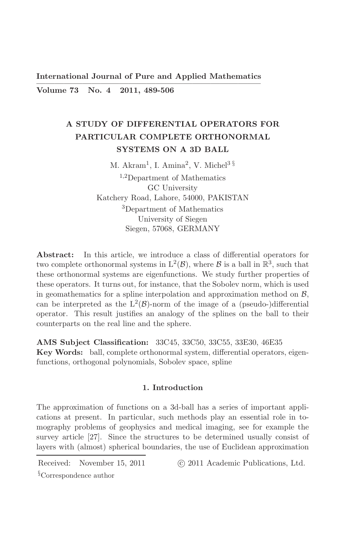**International Journal of Pure and Applied Mathematics** Volume 73 No.  $4$ 2011, 489-506

# A STUDY OF DIFFERENTIAL OPERATORS FOR PARTICULAR COMPLETE ORTHONORMAL **SYSTEMS ON A 3D BALL**

M. Akram<sup>1</sup>, I. Amina<sup>2</sup>, V. Michel<sup>3 §</sup>

 $1,2$ Department of Mathematics GC University Katchery Road, Lahore, 54000, PAKISTAN <sup>3</sup>Department of Mathematics University of Siegen Siegen, 57068, GERMANY

Abstract: In this article, we introduce a class of differential operators for two complete orthonormal systems in  $L^2(\mathcal{B})$ , where  $\mathcal{B}$  is a ball in  $\mathbb{R}^3$ , such that these orthonormal systems are eigenfunctions. We study further properties of these operators. It turns out, for instance, that the Sobolev norm, which is used in geomathematics for a spline interpolation and approximation method on  $\beta$ , can be interpreted as the  $L^2(\mathcal{B})$ -norm of the image of a (pseudo-)differential operator. This result justifies an analogy of the splines on the ball to their counterparts on the real line and the sphere.

AMS Subject Classification: 33C45, 33C50, 33C55, 33E30, 46E35 Key Words: ball, complete orthonormal system, differential operators, eigenfunctions, orthogonal polynomials, Sobolev space, spline

### 1. Introduction

The approximation of functions on a 3d-ball has a series of important applications at present. In particular, such methods play an essential role in tomography problems of geophysics and medical imaging, see for example the survey article [27]. Since the structures to be determined usually consist of layers with (almost) spherical boundaries, the use of Euclidean approximation

Received: November 15, 2011

© 2011 Academic Publications, Ltd.

 $\S$ Correspondence author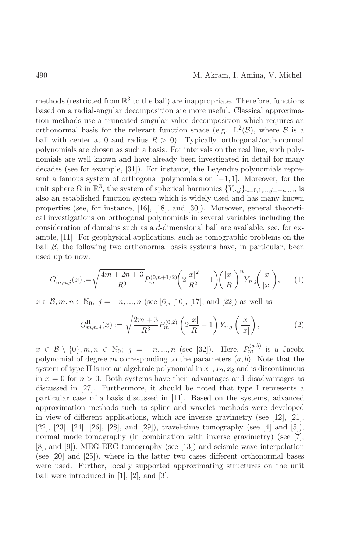methods (restricted from  $\mathbb{R}^3$  to the ball) are inappropriate. Therefore, functions based on a radial-angular decomposition are more useful. Classical approximation methods use a truncated singular value decomposition which requires an orthonormal basis for the relevant function space (e.g.  $L^2(\mathcal{B})$ , where  $\mathcal B$  is a ball with center at 0 and radius  $R > 0$ ). Typically, orthogonal/orthonormal polynomials are chosen as such a basis. For intervals on the real line, such polynomials are well known and have already been investigated in detail for many decades (see for example,  $[31]$ ). For instance, the Legendre polynomials represent a famous system of orthogonal polynomials on  $[-1, 1]$ . Moreover, for the unit sphere  $\Omega$  in  $\mathbb{R}^3$ , the system of spherical harmonics  $\{Y_{n,j}\}_{n=0,1,\dots,j=-n,\dots n}$  is also an established function system which is widely used and has many known properties (see, for instance,  $[16]$ ,  $[18]$ , and  $[30]$ ). Moreover, general theoretical investigations on orthogonal polynomials in several variables including the consideration of domains such as a d-dimensional ball are available, see, for example, [11]. For geophysical applications, such as tomographic problems on the ball  $\beta$ , the following two orthonormal basis systems have, in particular, been used up to now:

$$
G_{m,n,j}^{\mathrm{I}}(x) := \sqrt{\frac{4m+2n+3}{R^3}} P_m^{(0,n+1/2)} \left( 2\frac{|x|^2}{R^2} - 1 \right) \left( \frac{|x|}{R} \right)^n Y_{n,j} \left( \frac{x}{|x|} \right), \qquad (1)
$$

 $x \in \mathcal{B}, m, n \in \mathbb{N}_0$ ;  $j = -n, ..., n$  (see [6], [10], [17], and [22]) as well as

$$
G_{m,n,j}^{\text{II}}(x) := \sqrt{\frac{2m+3}{R^3}} P_m^{(0,2)}\left(2\frac{|x|}{R} - 1\right) Y_{n,j}\left(\frac{x}{|x|}\right),\tag{2}
$$

 $x \in \mathcal{B} \setminus \{0\}, m, n \in \mathbb{N}_0; j = -n, ..., n$  (see [32]). Here,  $P_m^{(a,b)}$  is a Jacobi polynomial of degree m corresponding to the parameters  $(a, b)$ . Note that the system of type II is not an algebraic polynomial in  $x_1, x_2, x_3$  and is discontinuous in  $x = 0$  for  $n > 0$ . Both systems have their advantages and disadvantages as discussed in [27]. Furthermore, it should be noted that type I represents a particular case of a basis discussed in [11]. Based on the systems, advanced approximation methods such as spline and wavelet methods were developed in view of different applications, which are inverse gravimetry (see [12], [21], [22], [23], [24], [26], [28], and [29]), travel-time tomography (see [4] and [5]), normal mode tomography (in combination with inverse gravimetry) (see [7],  $[8]$ , and  $[9]$ ), MEG-EEG tomography (see [13]) and seismic wave interpolation (see [20] and [25]), where in the latter two cases different orthonormal bases were used. Further, locally supported approximating structures on the unit ball were introduced in  $[1]$ ,  $[2]$ , and  $[3]$ .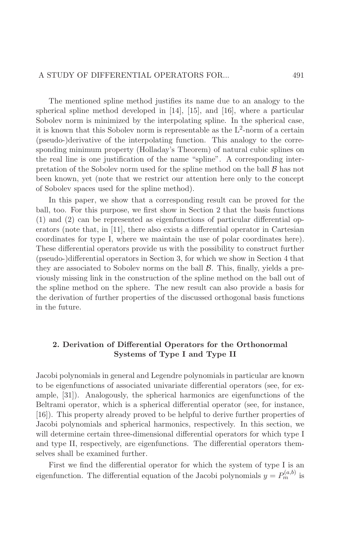The mentioned spline method justifies its name due to an analogy to the spherical spline method developed in  $[14]$ ,  $[15]$ , and  $[16]$ , where a particular Sobolev norm is minimized by the interpolating spline. In the spherical case, it is known that this Sobolev norm is representable as the  $L^2$ -norm of a certain (pseudo-)derivative of the interpolating function. This analogy to the corresponding minimum property (Holladay's Theorem) of natural cubic splines on the real line is one justification of the name "spline". A corresponding interpretation of the Sobolev norm used for the spline method on the ball  $\beta$  has not been known, yet (note that we restrict our attention here only to the concept of Sobolev spaces used for the spline method).

In this paper, we show that a corresponding result can be proved for the ball, too. For this purpose, we first show in Section 2 that the basis functions  $(1)$  and  $(2)$  can be represented as eigenfunctions of particular differential operators (note that, in [11], there also exists a differential operator in Cartesian coordinates for type I, where we maintain the use of polar coordinates here). These differential operators provide us with the possibility to construct further (pseudo-)differential operators in Section 3, for which we show in Section 4 that they are associated to Sobolev norms on the ball  $\beta$ . This, finally, yields a previously missing link in the construction of the spline method on the ball out of the spline method on the sphere. The new result can also provide a basis for the derivation of further properties of the discussed orthogonal basis functions in the future.

# 2. Derivation of Differential Operators for the Orthonormal Systems of Type I and Type II

Jacobi polynomials in general and Legendre polynomials in particular are known to be eigenfunctions of associated univariate differential operators (see, for example,  $[31]$ . Analogously, the spherical harmonics are eigenfunctions of the Beltrami operator, which is a spherical differential operator (see, for instance, [16]. This property already proved to be helpful to derive further properties of Jacobi polynomials and spherical harmonics, respectively. In this section, we will determine certain three-dimensional differential operators for which type I and type II, respectively, are eigenfunctions. The differential operators themselves shall be examined further.

First we find the differential operator for which the system of type I is an eigenfunction. The differential equation of the Jacobi polynomials  $y = P_m^{(a,b)}$  is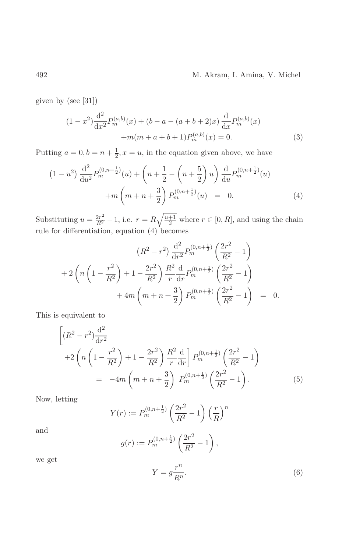given by (see  $[31]$ )

$$
(1 - x2) \frac{d2}{dx2} Pm(a,b)(x) + (b - a - (a + b + 2)x) \frac{d}{dx} Pm(a,b)(x) + m(m + a + b + 1) Pm(a,b)(x) = 0.
$$
 (3)

Putting  $a = 0, b = n + \frac{1}{2}, x = u$ , in the equation given above, we have

$$
(1 - u2) \frac{d^{2}}{du^{2}} P_{m}^{(0, n + \frac{1}{2})}(u) + \left(n + \frac{1}{2} - \left(n + \frac{5}{2}\right)u\right) \frac{d}{du} P_{m}^{(0, n + \frac{1}{2})}(u)
$$

$$
+ m \left(m + n + \frac{3}{2}\right) P_{m}^{(0, n + \frac{1}{2})}(u) = 0.
$$
(4)

Substituting  $u = \frac{2r^2}{R^2} - 1$ , i.e.  $r = R\sqrt{\frac{u+1}{2}}$  where  $r \in [0, R]$ , and using the chain rule for differentiation, equation (4) becomes

$$
(R^{2} - r^{2}) \frac{d^{2}}{dr^{2}} P_{m}^{(0,n+\frac{1}{2})} \left(\frac{2r^{2}}{R^{2}} - 1\right)
$$
  
+2\left(n\left(1 - \frac{r^{2}}{R^{2}}\right) + 1 - \frac{2r^{2}}{R^{2}}\right) \frac{R^{2}}{r} \frac{d}{dr} P\_{m}^{(0,n+\frac{1}{2})} \left(\frac{2r^{2}}{R^{2}} - 1\right)  
+4m\left(m + n + \frac{3}{2}\right) P\_{m}^{(0,n+\frac{1}{2})} \left(\frac{2r^{2}}{R^{2}} - 1\right) = 0.

This is equivalent to

$$
\left[ (R^2 - r^2) \frac{d^2}{dr^2} + 2 \left( n \left( 1 - \frac{r^2}{R^2} \right) + 1 - \frac{2r^2}{R^2} \right) \frac{R^2}{r} \frac{d}{dr} \right] P_m^{(0, n + \frac{1}{2})} \left( \frac{2r^2}{R^2} - 1 \right)
$$
  
= 
$$
-4m \left( m + n + \frac{3}{2} \right) P_m^{(0, n + \frac{1}{2})} \left( \frac{2r^2}{R^2} - 1 \right).
$$
 (5)

Now, letting

$$
Y(r) := P_m^{(0,n+\frac{1}{2})} \left(\frac{2r^2}{R^2} - 1\right) \left(\frac{r}{R}\right)^n
$$

and

$$
g(r) := P_m^{(0,n+\frac{1}{2})} \left( \frac{2r^2}{R^2} - 1 \right),
$$

we get

$$
Y = g \frac{r^n}{R^n}.\tag{6}
$$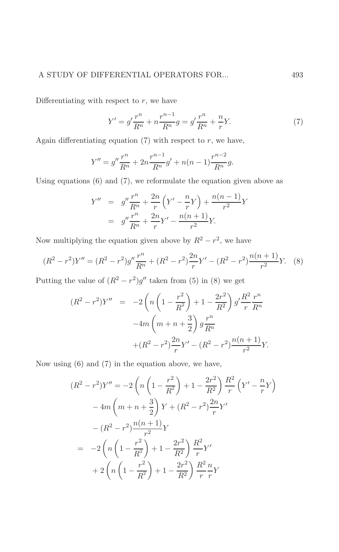#### A STUDY OF DIFFERENTIAL OPERATORS FOR... 493

Differentiating with respect to  $r$ , we have

$$
Y' = g' \frac{r^n}{R^n} + n \frac{r^{n-1}}{R^n} g = g' \frac{r^n}{R^n} + \frac{n}{r} Y. \tag{7}
$$

Again differentiating equation  $(7)$  with respect to r, we have,

$$
Y'' = g'' \frac{r^n}{R^n} + 2n \frac{r^{n-1}}{R^n} g' + n(n-1) \frac{r^{n-2}}{R^n} g.
$$

Using equations  $(6)$  and  $(7)$ , we reformulate the equation given above as

$$
Y'' = g'' \frac{r^n}{R^n} + \frac{2n}{r} \left( Y' - \frac{n}{r} Y \right) + \frac{n(n-1)}{r^2} Y
$$
  
=  $g'' \frac{r^n}{R^n} + \frac{2n}{r} Y' - \frac{n(n+1)}{r^2} Y.$ 

Now multiplying the equation given above by  $R^2 - r^2$ , we have

$$
(R^2 - r^2)Y'' = (R^2 - r^2)g''\frac{r^n}{R^n} + (R^2 - r^2)\frac{2n}{r}Y' - (R^2 - r^2)\frac{n(n+1)}{r^2}Y.
$$
 (8)

Putting the value of  $(R^2 - r^2)g''$  taken from (5) in (8) we get

$$
(R^{2} - r^{2})Y'' = -2\left(n\left(1 - \frac{r^{2}}{R^{2}}\right) + 1 - \frac{2r^{2}}{R^{2}}\right)g'\frac{R^{2}}{r}\frac{r^{n}}{R^{n}}
$$

$$
-4m\left(m + n + \frac{3}{2}\right)g\frac{r^{n}}{R^{n}}
$$

$$
+(R^{2} - r^{2})\frac{2n}{r}Y' - (R^{2} - r^{2})\frac{n(n+1)}{r^{2}}Y.
$$

Now using  $(6)$  and  $(7)$  in the equation above, we have,

$$
(R^{2} - r^{2})Y'' = -2\left(n\left(1 - \frac{r^{2}}{R^{2}}\right) + 1 - \frac{2r^{2}}{R^{2}}\right)\frac{R^{2}}{r}\left(Y' - \frac{n}{r}Y\right)
$$

$$
-4m\left(m + n + \frac{3}{2}\right)Y + (R^{2} - r^{2})\frac{2n}{r}Y'
$$

$$
-(R^{2} - r^{2})\frac{n(n+1)}{r^{2}}Y
$$

$$
= -2\left(n\left(1 - \frac{r^{2}}{R^{2}}\right) + 1 - \frac{2r^{2}}{R^{2}}\right)\frac{R^{2}}{r}Y'
$$

$$
+ 2\left(n\left(1 - \frac{r^{2}}{R^{2}}\right) + 1 - \frac{2r^{2}}{R^{2}}\right)\frac{R^{2}}{r}\frac{n}{r}Y
$$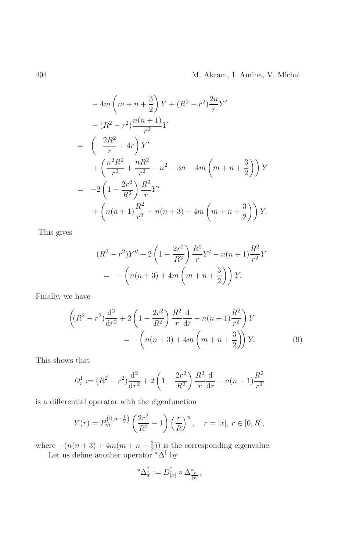$$
-4m\left(m+n+\frac{3}{2}\right)Y + (R^2 - r^2)\frac{2n}{r}Y'
$$
  

$$
-(R^2 - r^2)\frac{n(n+1)}{r^2}Y
$$
  

$$
= \left(-\frac{2R^2}{r} + 4r\right)Y'
$$
  

$$
+ \left(\frac{n^2R^2}{r^2} + \frac{nR^2}{r^2} - n^2 - 3n - 4m\left(m+n+\frac{3}{2}\right)\right)Y
$$
  

$$
= -2\left(1 - \frac{2r^2}{R^2}\right)\frac{R^2}{r}Y'
$$
  

$$
+ \left(n(n+1)\frac{R^2}{r^2} - n(n+3) - 4m\left(m+n+\frac{3}{2}\right)\right)Y.
$$

This gives

$$
(R^{2} - r^{2})Y'' + 2\left(1 - \frac{2r^{2}}{R^{2}}\right)\frac{R^{2}}{r}Y' - n(n+1)\frac{R^{2}}{r^{2}}Y
$$

$$
= -\left(n(n+3) + 4m\left(m+n+\frac{3}{2}\right)\right)Y.
$$

Finally, we have

$$
\left( (R^{2} - r^{2}) \frac{d^{2}}{dr^{2}} + 2 \left( 1 - \frac{2r^{2}}{R^{2}} \right) \frac{R^{2}}{r} \frac{d}{dr} - n(n+1) \frac{R^{2}}{r^{2}} \right) Y
$$

$$
= -\left( n(n+3) + 4m \left( m + n + \frac{3}{2} \right) \right) Y.
$$
(9)

This shows that

$$
D_r^{\text{I}} := (R^2 - r^2) \frac{d^2}{dr^2} + 2\left(1 - \frac{2r^2}{R^2}\right) \frac{R^2}{r} \frac{d}{dr} - n(n+1)\frac{R^2}{r^2}
$$

is a differential operator with the eigenfunction

$$
Y(r) = P_m^{(0,n+\frac{1}{2})} \left(\frac{2r^2}{R^2} - 1\right) \left(\frac{r}{R}\right)^n, \quad r = |x|, r \in [0, R],
$$

where  $-(n(n+3) + 4m(m+n+\frac{3}{2}))$  is the corresponding eigenvalue.<br>Let us define another operator  $^*\Delta^I$  by

$$
^*\Delta^{\mathrm{I}}_x:=D^{\mathrm{I}}_{|x|}\circ\Delta^*_{\frac{x}{|x|}},
$$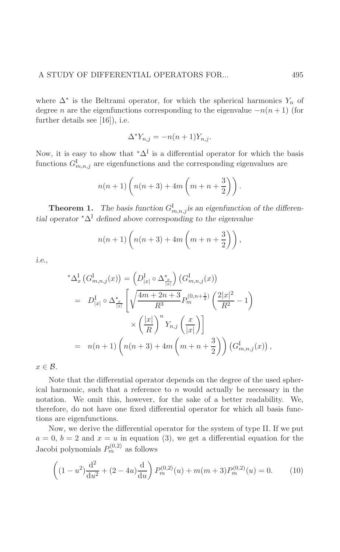where  $\Delta^*$  is the Beltrami operator, for which the spherical harmonics  $Y_n$  of degree *n* are the eigenfunctions corresponding to the eigenvalue  $-n(n+1)$  (for further details see  $[16]$ , i.e.

$$
\Delta^* Y_{n,j} = -n(n+1)Y_{n,j}.
$$

Now, it is easy to show that  $^*\Delta^I$  is a differential operator for which the basis functions  $G_{m,n,j}^{\text{I}}$  are eigenfunctions and the corresponding eigenvalues are

$$
n(n+1)\left(n(n+3)+4m\left(m+n+\frac{3}{2}\right)\right).
$$

**Theorem 1.** The basis function  $G_{m,n,j}^{\text{I}}$  is an eigenfunction of the differential operator  $^*\Delta^I$  defined above corresponding to the eigenvalue

$$
n(n+1)\left(n(n+3)+4m\left(m+n+\frac{3}{2}\right)\right),\,
$$

*i.e.*,

$$
^{\ast}\Delta_{x}^{I}(G_{m,n,j}^{I}(x)) = (D_{|x|}^{I} \circ \Delta_{\frac{x}{|x|}}^{*}) (G_{m,n,j}^{I}(x))
$$
  
\n
$$
= D_{|x|}^{I} \circ \Delta_{\frac{x}{|x|}}^{*} \left[ \sqrt{\frac{4m + 2n + 3}{R^{3}}} P_{m}^{(0,n+\frac{1}{2})} (\frac{2|x|^{2}}{R^{2}} - 1) \times (\frac{|x|}{R})^{n} Y_{n,j} (\frac{x}{|x|}) \right]
$$
  
\n
$$
= n(n+1) (n(n+3) + 4m (m+n+\frac{3}{2})) (G_{m,n,j}^{I}(x)),
$$

 $x \in \mathcal{B}$ .

Note that the differential operator depends on the degree of the used spherical harmonic, such that a reference to  $n$  would actually be necessary in the notation. We omit this, however, for the sake of a better readability. We, therefore, do not have one fixed differential operator for which all basis functions are eigenfunctions.

Now, we derive the differential operator for the system of type II. If we put  $a = 0, b = 2$  and  $x = u$  in equation (3), we get a differential equation for the Jacobi polynomials  $P_m^{(0,2)}$  as follows

$$
\left( (1 - u^2) \frac{d^2}{du^2} + (2 - 4u) \frac{d}{du} \right) P_m^{(0,2)}(u) + m(m+3) P_m^{(0,2)}(u) = 0.
$$
 (10)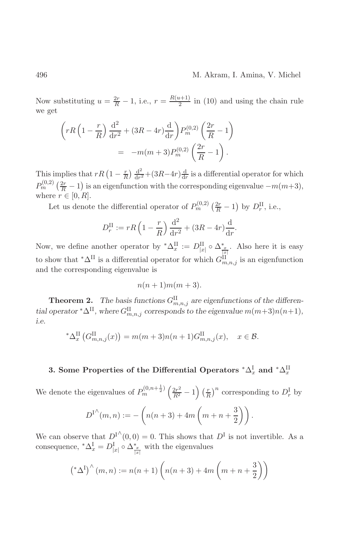Now substituting  $u = \frac{2r}{R} - 1$ , i.e.,  $r = \frac{R(u+1)}{2}$  in (10) and using the chain rule we get

$$
\left(rR\left(1-\frac{r}{R}\right)\frac{\mathrm{d}^2}{\mathrm{d}r^2} + (3R - 4r)\frac{\mathrm{d}}{\mathrm{d}r}\right)P_m^{(0,2)}\left(\frac{2r}{R} - 1\right)
$$

$$
= -m(m+3)P_m^{(0,2)}\left(\frac{2r}{R} - 1\right).
$$

This implies that  $rR\left(1-\frac{r}{R}\right)\frac{d^2}{dr^2}+(3R-4r)\frac{d}{dr}$  is a differential operator for which  $P_m^{(0,2)}\left(\frac{2r}{R}-1\right)$  is an eigenfunction with the corresponding eigenvalue  $-m(m+3)$ , where  $r \in [0, R]$ .

Let us denote the differential operator of  $P_m^{(0,2)}\left(\frac{2r}{R}-1\right)$  by  $D_r^{\text{II}}$ , i.e.,

$$
D_r^{\text{II}} := rR\left(1 - \frac{r}{R}\right)\frac{\text{d}^2}{\text{d}r^2} + (3R - 4r)\frac{\text{d}}{\text{d}r}.
$$

Now, we define another operator by  $^*\Delta_x^{\text{II}} := D_{|x|}^{\text{II}} \circ \Delta_{\frac{x}{|x|}}^*$ . Also here it is easy to show that  $^*\Delta^{\text{II}}$  is a differential operator for which  $G_{m,n,j}^{\text{II}}$  is an eigenfunction and the corresponding eigenvalue is

$$
n(n+1)m(m+3).
$$

**Theorem 2.** The basis functions  $G_{m,n,j}^{\text{II}}$  are eigenfunctions of the differential operator \* $\Delta^{II}$ , where  $G_{m,n,j}^{II}$  corresponds to the eigenvalue  $m(m+3)n(n+1)$ , i.e.

$$
^{\ast }\Delta _{x}^{\text{II}}\left(G_{m,n,j}^{\text{II}}(x)\right)=m(m+3)n(n+1)G_{m,n,j}^{\text{II}}(x),\quad x\in \mathcal{B}
$$

# 3. Some Properties of the Differential Operators  ${}^*\Delta_x^{\text{I}}$  and  ${}^*\Delta_x^{\text{II}}$

We denote the eigenvalues of  $P_m^{(0,n+\frac{1}{2})}\left(\frac{2r^2}{R^2}-1\right)\left(\frac{r}{R}\right)^n$  corresponding to  $D_r^{\rm I}$  by

$$
D^{I^{\wedge}}(m, n) := -\left(n(n+3) + 4m\left(m + n + \frac{3}{2}\right)\right).
$$

We can observe that  $D^{I^{\wedge}}(0,0) = 0$ . This shows that  $D^{I}$  is not invertible. As a consequence,  $^*\Delta_x^I = D^I_{|x|} \circ \Delta_{\frac{x}{|x|}}^*$  with the eigenvalues

$$
(*\Delta^{I})^{\wedge}(m,n) := n(n+1)\left(n(n+3) + 4m\left(m+n+\frac{3}{2}\right)\right)
$$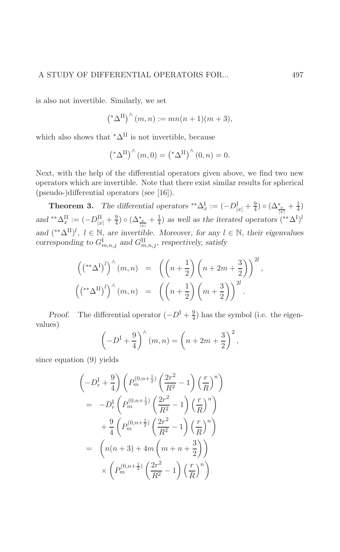is also not invertible. Similarly, we set

$$
(*\Delta^{II})^{\wedge}(m,n) := mn(n+1)(m+3),
$$

which also shows that  $^*\Delta^{\text{II}}$  is not invertible, because

$$
\left( \mathbf{A}^{\mathrm{II}} \right)^{\wedge} (m, 0) = \left( \mathbf{A}^{\mathrm{II}} \right)^{\wedge} (0, n) = 0.
$$

Next, with the help of the differential operators given above, we find two new operators which are invertible. Note that there exist similar results for spherical (pseudo-)differential operators (see [16]).

**Theorem 3.** The differential operators  ${}^{**}\Delta_x^I := (-D_{|x|}^I + \frac{9}{4}) \circ (\Delta_{\frac{x}{|x|}}^* + \frac{1}{4})$ <br>and  ${}^{**}\Delta_x^{II} := (-D_{|x|}^{II} + \frac{9}{4}) \circ (\Delta_{\frac{x}{|x|}}^* + \frac{1}{4})$  as well as the iterated operators  $({}^{**}\Delta^I)^l$ and  $({}^{**}\Delta^{II})^l$ ,  $l \in \mathbb{N}$ , are invertible. Moreover, for any  $l \in \mathbb{N}$ , their eigenvalues corresponding to  $G_{m,n,j}^{\text{I}}$  and  $G_{m,n,j}^{\text{II}}$ , respectively, satisfy

$$
\begin{aligned}\n\left( \left( ^{**} \Delta^{\mathrm{I}} \right)^l \right) ^{\wedge} (m, n) &= \left( \left( n + \frac{1}{2} \right) \left( n + 2m + \frac{3}{2} \right) \right)^{2l}, \\
\left( \left( ^{**} \Delta^{\mathrm{II}} \right)^l \right) ^{\wedge} (m, n) &= \left( \left( n + \frac{1}{2} \right) \left( m + \frac{3}{2} \right) \right)^{2l}.\n\end{aligned}
$$

The differential operator  $(-D^I + \frac{9}{4})$  has the symbol (i.e. the eigen-Proof. values)

$$
\left(-D^{I} + \frac{9}{4}\right)^{\hat{ }} (m, n) = \left(n + 2m + \frac{3}{2}\right)^{2},
$$

since equation  $(9)$  yields

$$
\begin{aligned}\n&\left(-D_r^{\mathrm{I}} + \frac{9}{4}\right) \left(P_m^{(0,n+\frac{1}{2})} \left(\frac{2r^2}{R^2} - 1\right) \left(\frac{r}{R}\right)^n\right) \\
&= -D_r^{\mathrm{I}} \left(P_m^{(0,n+\frac{1}{2})} \left(\frac{2r^2}{R^2} - 1\right) \left(\frac{r}{R}\right)^n\right) \\
&+ \frac{9}{4} \left(P_m^{(0,n+\frac{1}{2})} \left(\frac{2r^2}{R^2} - 1\right) \left(\frac{r}{R}\right)^n\right) \\
&= \left(n(n+3) + 4m\left(m+n+\frac{3}{2}\right)\right) \\
&\times \left(P_m^{(0,n+\frac{1}{2})} \left(\frac{2r^2}{R^2} - 1\right) \left(\frac{r}{R}\right)^n\right)\n\end{aligned}
$$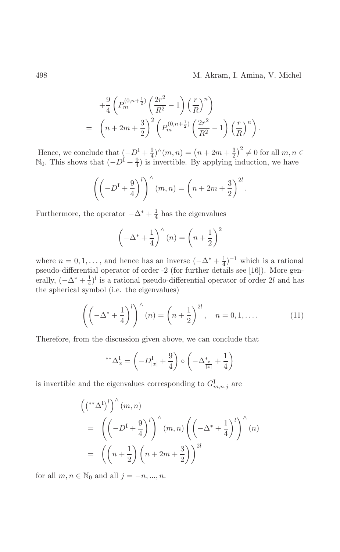$$
+\frac{9}{4}\left(P_m^{(0,n+\frac{1}{2})}\left(\frac{2r^2}{R^2}-1\right)\left(\frac{r}{R}\right)^n\right) = \left(n+2m+\frac{3}{2}\right)^2\left(P_m^{(0,n+\frac{1}{2})}\left(\frac{2r^2}{R^2}-1\right)\left(\frac{r}{R}\right)^n\right).
$$

Hence, we conclude that  $(-D^I + \frac{9}{4})^{\wedge}(m, n) = (n + 2m + \frac{3}{2})^2 \neq 0$  for all  $m, n \in \mathbb{N}_0$ . This shows that  $(-D^I + \frac{9}{4})$  is invertible. By applying induction, we have

$$
\left(\left(-D^{\mathrm{I}}+\frac{9}{4}\right)^l\right)^{\wedge}(m,n)=\left(n+2m+\frac{3}{2}\right)^{2l}.
$$

Furthermore, the operator  $-\Delta^* + \frac{1}{4}$  has the eigenvalues

$$
\left(-\Delta^* + \frac{1}{4}\right)^\wedge (n) = \left(n + \frac{1}{2}\right)^2
$$

where  $n = 0, 1, ...,$  and hence has an inverse  $(-\Delta^* + \frac{1}{4})^{-1}$  which is a rational pseudo-differential operator of order -2 (for further details see [16]). More generally,  $(-\Delta^* + \frac{1}{4})^l$  is a rational pseudo-differential operator of order 2l and has the spherical symbol (i.e. the eigenvalues)

$$
\left(\left(-\Delta^* + \frac{1}{4}\right)^l\right)^{\wedge}(n) = \left(n + \frac{1}{2}\right)^{2l}, \quad n = 0, 1, \dots \tag{11}
$$

Therefore, from the discussion given above, we can conclude that

$$
^{**}\Delta_x^{\mathcal{I}} = \left(-D_{|x|}^{\mathcal{I}} + \frac{9}{4}\right) \circ \left(-\Delta_{\frac{x}{|x|}}^* + \frac{1}{4}\right)
$$

is invertible and the eigenvalues corresponding to  $G_{m,n,j}^{\mathrm{I}}$  are

$$
\begin{aligned}\n\left( \binom{*}{4}^{l} \right)^{l} & (m, n) \\
&= \left( \left( -D^{l} + \frac{9}{4} \right)^{l} \right)^{\wedge} (m, n) \left( \left( -\Delta^{*} + \frac{1}{4} \right)^{l} \right)^{\wedge} (n) \\
&= \left( \left( n + \frac{1}{2} \right) \left( n + 2m + \frac{3}{2} \right) \right)^{2l}\n\end{aligned}
$$

for all  $m, n \in \mathbb{N}_0$  and all  $j = -n, ..., n$ .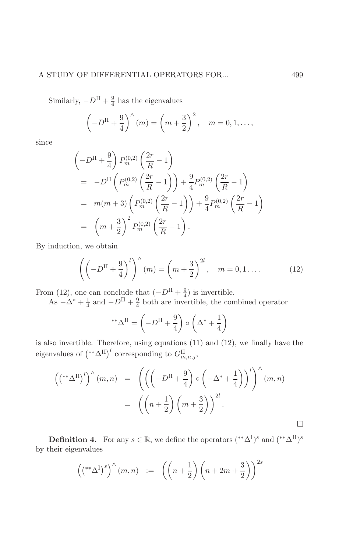# A STUDY OF DIFFERENTIAL OPERATORS FOR...

Similarly,  $-D^{\rm II}+\frac{9}{4}$  has the eigenvalues

$$
\left(-D^{II} + \frac{9}{4}\right)^{\wedge}(m) = \left(m + \frac{3}{2}\right)^2, \quad m = 0, 1, \dots,
$$

since

$$
\begin{aligned}\n&\left(-D^{\mathrm{II}} + \frac{9}{4}\right) P_m^{(0,2)} \left(\frac{2r}{R} - 1\right) \\
&= -D^{\mathrm{II}} \left(P_m^{(0,2)} \left(\frac{2r}{R} - 1\right)\right) + \frac{9}{4} P_m^{(0,2)} \left(\frac{2r}{R} - 1\right) \\
&= m(m+3) \left(P_m^{(0,2)} \left(\frac{2r}{R} - 1\right)\right) + \frac{9}{4} P_m^{(0,2)} \left(\frac{2r}{R} - 1\right) \\
&= \left(m + \frac{3}{2}\right)^2 P_m^{(0,2)} \left(\frac{2r}{R} - 1\right).\n\end{aligned}
$$

By induction, we obtain

$$
\left(\left(-D^{\mathrm{II}} + \frac{9}{4}\right)^l\right)^{\wedge}(m) = \left(m + \frac{3}{2}\right)^{2l}, \quad m = 0, 1 \dots \tag{12}
$$

From (12), one can conclude that  $(-D^{II} + \frac{9}{4})$  is invertible.<br>As  $-\Delta^* + \frac{1}{4}$  and  $-D^{II} + \frac{9}{4}$  both are invertible, the combined operator

$$
^{\ast\ast}\Delta^{\text{II}} = \left(-D^{\text{II}} + \frac{9}{4}\right) \circ \left(\Delta^* + \frac{1}{4}\right)
$$

is also invertible. Therefore, using equations  $(11)$  and  $(12)$ , we finally have the eigenvalues of  $({}^{**}\Delta^{\text{II}})^l$  corresponding to  $G^{\text{II}}_{m,n,j}$ ,

$$
\begin{aligned}\n\left( \left( ^{**} \Delta^{\mathrm{II}} \right)^l \right) ^{\wedge} (m, n) &= \left( \left( \left( -D^{\mathrm{II}} + \frac{9}{4} \right) \circ \left( -\Delta^* + \frac{1}{4} \right) \right)^l \right) ^{\wedge} (m, n) \\
&= \left( \left( n + \frac{1}{2} \right) \left( m + \frac{3}{2} \right) \right)^{2l} .\n\end{aligned}
$$

**Definition 4.** For any  $s \in \mathbb{R}$ , we define the operators  $({}^{**}\Delta^I)^s$  and  $({}^{**}\Delta^{II})^s$ by their eigenvalues

$$
\left( \left( ^{**}\Delta^{\textrm{I}} \right) ^{s} \right)^{\wedge} (m,n) \quad := \quad \left( \left( n + \frac{1}{2} \right) \left( n + 2m + \frac{3}{2} \right) \right)^{2s}
$$

 $\Box$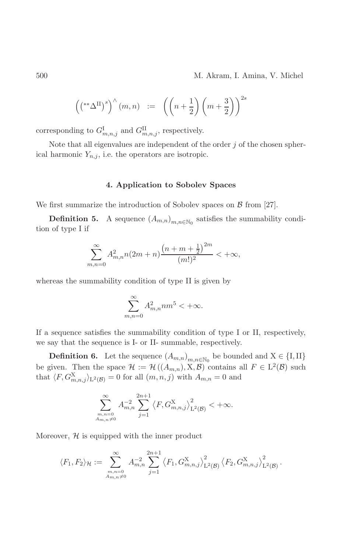$$
\left( \left( ^{\ast \ast }\Delta ^{\mathrm{II}}\right) ^{s}\right) ^{\wedge }(m,n)\quad :=\quad \left( \left( n+\frac{1}{2}\right) \left( m+\frac{3}{2}\right) \right) ^{2s}
$$

corresponding to  $G_{m,n,j}^{\text{I}}$  and  $G_{m,n,j}^{\text{II}}$ , respectively.

Note that all eigenvalues are independent of the order  $j$  of the chosen spherical harmonic  $Y_{n,j}$ , i.e. the operators are isotropic.

# 4. Application to Sobolev Spaces

We first summarize the introduction of Sobolev spaces on  $\beta$  from [27].

**Definition 5.** A sequence  $(A_{m,n})_{m,n\in\mathbb{N}_0}$  satisfies the summability condition of type I if

$$
\sum_{m,n=0}^{\infty} A_{m,n}^2 n (2m+n) \frac{\left(n+m+\frac{1}{2}\right)^{2m}}{(m!)^2} < +\infty,
$$

whereas the summability condition of type II is given by

$$
\sum_{m,n=0}^{\infty} A_{m,n}^2 n m^5 < +\infty.
$$

If a sequence satisfies the summability condition of type I or II, respectively, we say that the sequence is I- or II- summable, respectively.

**Definition 6.** Let the sequence  $(A_{m,n})_{m,n\in\mathbb{N}_0}$  be bounded and  $X \in \{I, II\}$ be given. Then the space  $\mathcal{H} := \mathcal{H}((A_{m,n}), \mathbf{X}, \mathcal{B})$  contains all  $F \in L^2(\mathcal{B})$  such that  $\langle F, G_{m,n,j}^X \rangle_{L^2(\mathcal{B})} = 0$  for all  $(m, n, j)$  with  $A_{m,n} = 0$  and

$$
\sum_{\substack{m,n=0 \ A_{m,n}\neq 0}}^{\infty} A_{m,n}^{-2} \sum_{j=1}^{2n+1} \left\langle F, G_{m,n,j}^{\mathbf{X}} \right\rangle_{\mathbf{L}^{2}(\mathcal{B})}^{2} < +\infty.
$$

Moreover,  $H$  is equipped with the inner product

$$
\langle F_1, F_2 \rangle_{\mathcal{H}} := \sum_{\substack{m,n=0 \\ A_{m,n} \neq 0}}^{\infty} A_{m,n}^{-2} \sum_{j=1}^{2n+1} \left\langle F_1, G_{m,n,j}^{\mathrm{X}} \right\rangle_{\mathrm{L}^2(\mathcal{B})}^2 \left\langle F_2, G_{m,n,j}^{\mathrm{X}} \right\rangle_{\mathrm{L}^2(\mathcal{B})}^2.
$$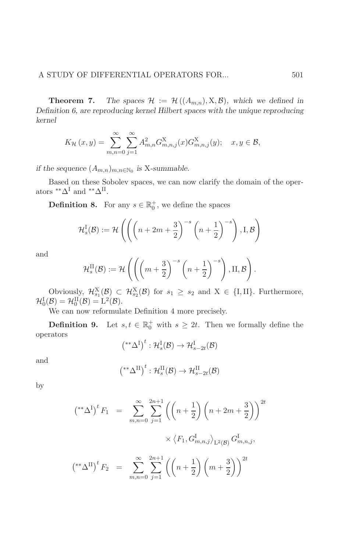501

Theorem 7. The spaces  $\mathcal{H} := \mathcal{H}((A_{m,n}), \mathbf{X}, \mathcal{B})$ , which we defined in Definition 6, are reproducing kernel Hilbert spaces with the unique reproducing kernel

$$
K_{\mathcal{H}}(x,y) = \sum_{m,n=0}^{\infty} \sum_{j=1}^{\infty} A_{m,n}^{2} G_{m,n,j}^{\mathbf{X}}(x) G_{m,n,j}^{\mathbf{X}}(y); \quad x, y \in \mathcal{B},
$$

if the sequence  $(A_{m,n})_{m,n\in\mathbb{N}_0}$  is X-summable.

Based on these Sobolev spaces, we can now clarify the domain of the operators  ${}^{**}\Delta^{\mathrm I}$  and  ${}^{**}\Delta^{\mathrm{II}}.$ 

**Definition 8.** For any  $s \in \mathbb{R}_0^+$ , we define the spaces

$$
\mathcal{H}_s^{\text{I}}(\mathcal{B}) := \mathcal{H}\left( \left( \left(n + 2m + \frac{3}{2}\right)^{-s} \left(n + \frac{1}{2}\right)^{-s}\right), \text{I}, \mathcal{B}\right)
$$

and

$$
\mathcal{H}_s^{\mathrm{II}}(\mathcal{B}) := \mathcal{H}\left( \left( \left( m + \frac{3}{2} \right)^{-s} \left( n + \frac{1}{2} \right)^{-s} \right), \mathrm{II}, \mathcal{B} \right).
$$

Obviously,  $\mathcal{H}_{s_1}^X(\mathcal{B}) \subset \mathcal{H}_{s_2}^X(\mathcal{B})$  for  $s_1 \geq s_2$  and  $X \in \{I, II\}$ . Furthermore,  $\mathcal{H}_0^{\text{I}}(\mathcal{B}) = \mathcal{H}_0^{\text{II}}(\mathcal{B}) = L^2(\mathcal{B}).$ 

We can now reformulate Definition  $4$  more precisely.

**Definition 9.** Let  $s, t \in \mathbb{R}_0^+$  with  $s \geq 2t$ . Then we formally define the operators

$$
(*^*\Delta^I)^t: \mathcal{H}_s^I(\mathcal{B}) \to \mathcal{H}_{s-2t}^I(\mathcal{B})
$$

and

$$
(*^*\Delta^{\mathrm{II}})^t : \mathcal{H}_s^{\mathrm{II}}(\mathcal{B}) \to \mathcal{H}_{s-2t}^{\mathrm{II}}(\mathcal{B})
$$

by

$$
\begin{aligned}\n\left( \begin{array}{c} \binom{*}{4} \binom{*}{1}^t F_1 & = \sum_{m,n=0}^{\infty} \sum_{j=1}^{2n+1} \left( \left( n + \frac{1}{2} \right) \left( n + 2m + \frac{3}{2} \right) \right)^{2t} \\ &\times \left\langle F_1, G_{m,n,j}^{\text{I}} \right\rangle_{\text{L}^2(\mathcal{B})} G_{m,n,j}^{\text{I}}, \\
\left( \binom{*}{4} \right)^t F_2 & = \sum_{m,n=0}^{\infty} \sum_{j=1}^{2n+1} \left( \left( n + \frac{1}{2} \right) \left( m + \frac{3}{2} \right) \right)^{2t}\n\end{array}\n\end{aligned}
$$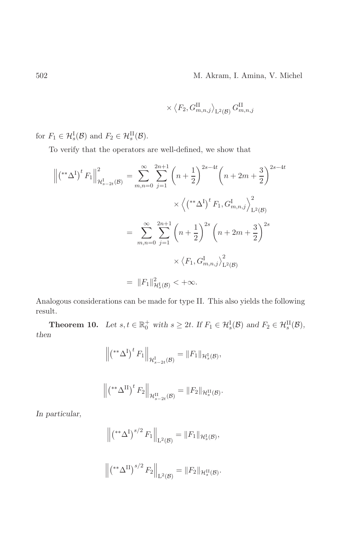$$
\times \left\langle F_2, G_{m,n,j}^{\rm II} \right\rangle_{\mathrm{L}^2(\mathcal{B})} G_{m,n,j}^{\rm II}
$$

for  $F_1 \in \mathcal{H}_s^{\mathcal{I}}(\mathcal{B})$  and  $F_2 \in \mathcal{H}_s^{\mathcal{II}}(\mathcal{B})$ .

To verify that the operators are well-defined, we show that

$$
\left\| \left( ^{\ast \ast }\Delta^{\mathrm{I}} \right)^{t} F_{1} \right\|_{\mathcal{H}_{s-2t}^{\mathrm{I}}(\mathcal{B})}^{2} = \sum_{m,n=0}^{\infty} \sum_{j=1}^{2n+1} \left( n + \frac{1}{2} \right)^{2s-4t} \left( n + 2m + \frac{3}{2} \right)^{2s-4t}
$$

$$
\times \left\langle \left( ^{\ast \ast }\Delta^{\mathrm{I}} \right)^{t} F_{1}, G_{m,n,j}^{\mathrm{I}} \right\rangle_{\mathrm{L}^{2}(\mathcal{B})}^{2}
$$

$$
= \sum_{m,n=0}^{\infty} \sum_{j=1}^{2n+1} \left( n + \frac{1}{2} \right)^{2s} \left( n + 2m + \frac{3}{2} \right)^{2s}
$$

$$
\times \left\langle F_{1}, G_{m,n,j}^{\mathrm{I}} \right\rangle_{\mathrm{L}^{2}(\mathcal{B})}^{2}
$$

$$
= \|F_{1}\|_{\mathcal{H}_{s}^{\mathrm{I}}(\mathcal{B})}^{2} < +\infty.
$$

Analogous considerations can be made for type II. This also yields the following result.

**Theorem 10.** Let  $s, t \in \mathbb{R}_0^+$  with  $s \geq 2t$ . If  $F_1 \in \mathcal{H}_s^{\mathcal{I}}(\mathcal{B})$  and  $F_2 \in \mathcal{H}_s^{\mathcal{II}}(\mathcal{B})$ ,  $then$ 

$$
\left\| \left( ^{\ast\ast}\Delta^{\textrm{I}}\right) ^{t} F_{1} \right\|_{\mathcal{H}_{s-2t}^{\textrm{I}}(\mathcal{B})} = \| F_{1} \|_{\mathcal{H}_{s}^{\textrm{I}}(\mathcal{B})},
$$

$$
\left\| \left( \mathbf{f}^* \Delta^{\mathrm{II}} \right)^t F_2 \right\|_{\mathcal{H}_{s-2t}^{\mathrm{II}}(\mathcal{B})} = \| F_2 \|_{\mathcal{H}_s^{\mathrm{II}}(\mathcal{B})}.
$$

In particular,

$$
\left\| \left( ^{\ast\ast}\Delta^{\mathrm{I}} \right)^{s/2} F_1 \right\|_{\mathrm{L}^2(\mathcal{B})} = \| F_1 \|_{\mathcal{H}^{\mathrm{I}}_s(\mathcal{B})},
$$

$$
\left\| \left( ^{\ast\ast}\Delta^{\mathrm{II}}\right) ^{s/2}F_{2}\right\| _{\mathrm{L}^{2}(\mathcal{B})}=\|F_{2}\|_{\mathcal{H}_{s}^{\mathrm{II}}(\mathcal{B})}.
$$

 $502\,$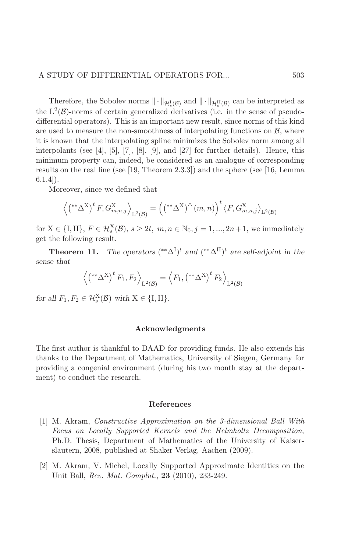Therefore, the Sobolev norms  $\|\cdot\|_{\mathcal{H}_{\alpha}^{I}(\mathcal{B})}$  and  $\|\cdot\|_{\mathcal{H}_{\alpha}^{II}(\mathcal{B})}$  can be interpreted as the  $L^2(\mathcal{B})$ -norms of certain generalized derivatives (i.e. in the sense of pseudodifferential operators). This is an important new result, since norms of this kind are used to measure the non-smoothness of interpolating functions on  $\beta$ , where it is known that the interpolating spline minimizes the Sobolev norm among all interpolants (see [4], [5], [7], [8], [9], and [27] for further details). Hence, this minimum property can, indeed, be considered as an analogue of corresponding results on the real line (see [19, Theorem 2.3.3]) and the sphere (see [16, Lemma  $6.1.4$ ).

Moreover, since we defined that

$$
\left\langle \left( ^{\ast\ast}\Delta^X \right)^t F, G_{m,n,j}^X \right\rangle_{\mathcal{L}^2(\mathcal{B})} = \left( \left( ^{\ast\ast}\Delta^X \right)^{\wedge} (m,n) \right)^t \left\langle F, G_{m,n,j}^X \right\rangle_{\mathcal{L}^2(\mathcal{B})}
$$

for  $X \in \{I, II\}$ ,  $F \in \mathcal{H}_s^X(\mathcal{B})$ ,  $s \geq 2t$ ,  $m, n \in \mathbb{N}_0$ ,  $j = 1, ..., 2n + 1$ , we immediately get the following result.

**Theorem 11.** The operators  $({}^{**}\Delta^I)^t$  and  $({}^{**}\Delta^{II})^t$  are self-adjoint in the sense that

$$
\left\langle \left( ^{**}\Delta ^X \right)^t F_1, F_2 \right\rangle_{\mathbf{L}^2(\mathcal{B})} = \left\langle F_1, \left( ^{**}\Delta ^X \right)^t F_2 \right\rangle_{\mathbf{L}^2(\mathcal{B})}
$$

for all  $F_1, F_2 \in \mathcal{H}_s^X(\mathcal{B})$  with  $X \in \{I, II\}.$ 

### Acknowledgments

The first author is thankful to DAAD for providing funds. He also extends his thanks to the Department of Mathematics, University of Siegen, Germany for providing a congenial environment (during his two month stay at the department) to conduct the research.

#### References

- [1] M. Akram, *Constructive Approximation on the 3-dimensional Ball With* Focus on Locally Supported Kernels and the Helmholtz Decomposition, Ph.D. Thesis, Department of Mathematics of the University of Kaiserslautern, 2008, published at Shaker Verlag, Aachen (2009).
- [2] M. Akram, V. Michel, Locally Supported Approximate Identities on the Unit Ball, Rev. Mat. Complut., 23 (2010), 233-249.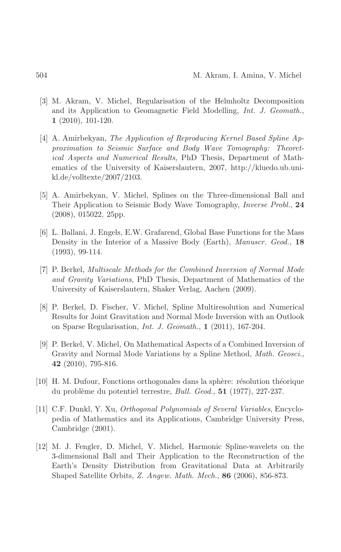- [3] M. Akram, V. Michel, Regularisation of the Helmholtz Decomposition and its Application to Geomagnetic Field Modelling, Int. J. Geomath.,  $1(2010), 101-120.$
- [4] A. Amirbekyan, The Application of Reproducing Kernel Based Spline Approximation to Seismic Surface and Body Wave Tomography: Theoret*ical Aspects and Numerical Results*, PhD Thesis, Department of Mathematics of the University of Kaiserslautern, 2007, http://kluedo.ub.unikl.de/volltexte/2007/2103.
- [5] A. Amirbekyan, V. Michel, Splines on the Three-dimensional Ball and Their Application to Seismic Body Wave Tomography, *Inverse Probl.*, 24  $(2008), 015022, 25pp.$
- [6] L. Ballani, J. Engels, E.W. Grafarend, Global Base Functions for the Mass Density in the Interior of a Massive Body (Earth), *Manuscr. Geod.*, 18  $(1993), 99-114.$
- [7] P. Berkel, Multiscale Methods for the Combined Inversion of Normal Mode and Gravity Variations, PhD Thesis, Department of Mathematics of the University of Kaiserslautern, Shaker Verlag, Aachen (2009).
- [8] P. Berkel, D. Fischer, V. Michel, Spline Multiresolution and Numerical Results for Joint Gravitation and Normal Mode Inversion with an Outlook on Sparse Regularisation, *Int. J. Geomath.*,  $1$  (2011), 167-204.
- [9] P. Berkel, V. Michel, On Mathematical Aspects of a Combined Inversion of Gravity and Normal Mode Variations by a Spline Method, *Math. Geosci.*, 42 (2010), 795-816.
- [10] H. M. Dufour, Fonctions orthogonales dans la sphère: résolution théorique du problème du potentiel terrestre, *Bull. Geod.*, **51** (1977), 227-237.
- [11] C.F. Dunkl, Y. Xu, Orthogonal Polynomials of Several Variables, Encyclopedia of Mathematics and its Applications, Cambridge University Press, Cambridge  $(2001)$ .
- [12] M. J. Fengler, D. Michel, V. Michel, Harmonic Spline-wavelets on the 3-dimensional Ball and Their Application to the Reconstruction of the Earth's Density Distribution from Gravitational Data at Arbitrarily Shaped Satellite Orbits, Z. Angew. Math. Mech., 86 (2006), 856-873.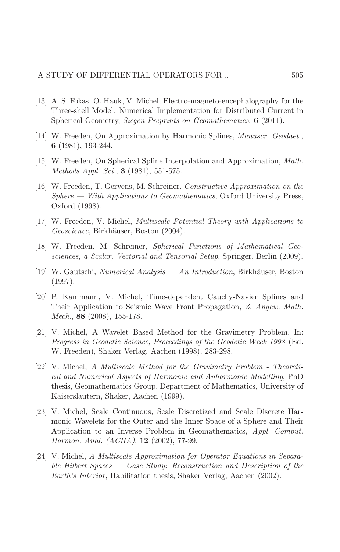- [13] A. S. Fokas, O. Hauk, V. Michel, Electro-magneto-encephalography for the Three-shell Model: Numerical Implementation for Distributed Current in Spherical Geometry, Siegen Preprints on Geomathematics, 6 (2011).
- [14] W. Freeden, On Approximation by Harmonic Splines, *Manuscr. Geodaet.*, 6 (1981), 193-244.
- [15] W. Freeden, On Spherical Spline Interpolation and Approximation, *Math.* Methods Appl. Sci., 3 (1981), 551-575.
- [16] W. Freeden, T. Gervens, M. Schreiner, Constructive Approximation on the  $Sphere$  — With Applications to Geomathematics, Oxford University Press, Oxford (1998).
- [17] W. Freeden, V. Michel, *Multiscale Potential Theory with Applications to* Geoscience, Birkhäuser, Boston (2004).
- [18] W. Freeden, M. Schreiner, Spherical Functions of Mathematical Geosciences, a Scalar, Vectorial and Tensorial Setup, Springer, Berlin (2009).
- [19] W. Gautschi, *Numerical Analysis An Introduction*, Birkhäuser, Boston  $(1997).$
- [20] P. Kammann, V. Michel, Time-dependent Cauchy-Navier Splines and Their Application to Seismic Wave Front Propagation, Z. Angew. Math. Mech., 88  $(2008)$ , 155-178.
- [21] V. Michel, A Wavelet Based Method for the Gravimetry Problem, In: Progress in Geodetic Science, Proceedings of the Geodetic Week 1998 (Ed. W. Freeden), Shaker Verlag, Aachen (1998), 283-298.
- [22] V. Michel, A Multiscale Method for the Gravimetry Problem Theoretical and Numerical Aspects of Harmonic and Anharmonic Modelling, PhD thesis, Geomathematics Group, Department of Mathematics, University of Kaiserslautern, Shaker, Aachen (1999).
- [23] V. Michel, Scale Continuous, Scale Discretized and Scale Discrete Harmonic Wavelets for the Outer and the Inner Space of a Sphere and Their Application to an Inverse Problem in Geomathematics, Appl. Comput. Harmon. Anal. (ACHA), 12 (2002), 77-99.
- [24] V. Michel, A Multiscale Approximation for Operator Equations in Separable Hilbert Spaces — Case Study: Reconstruction and Description of the *Earth's Interior*, Habilitation thesis, Shaker Verlag, Aachen (2002).